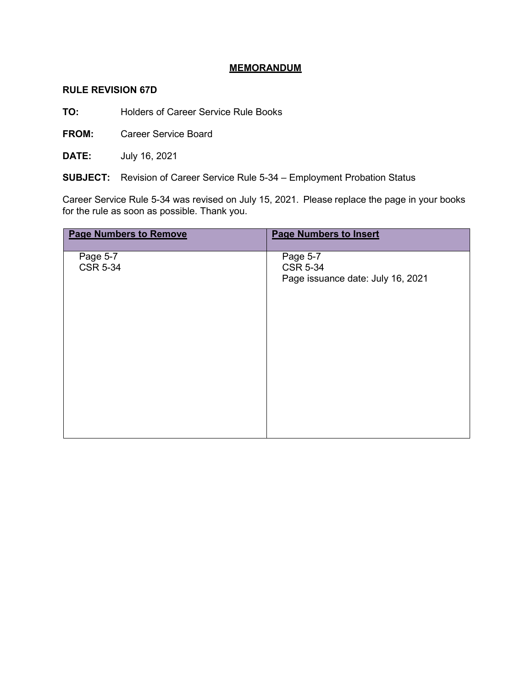## **MEMORANDUM**

## **RULE REVISION 67D**

**TO:** Holders of Career Service Rule Books

**FROM:** Career Service Board

**DATE:** July 16, 2021

**SUBJECT:** Revision of Career Service Rule 5-34 – Employment Probation Status

Career Service Rule 5-34 was revised on July 15, 2021. Please replace the page in your books for the rule as soon as possible. Thank you.

| <b>Page Numbers to Remove</b> | <b>Page Numbers to Insert</b>     |
|-------------------------------|-----------------------------------|
| Page 5-7                      | Page 5-7                          |
| <b>CSR 5-34</b>               | <b>CSR 5-34</b>                   |
|                               | Page issuance date: July 16, 2021 |
|                               |                                   |
|                               |                                   |
|                               |                                   |
|                               |                                   |
|                               |                                   |
|                               |                                   |
|                               |                                   |
|                               |                                   |
|                               |                                   |
|                               |                                   |
|                               |                                   |
|                               |                                   |
|                               |                                   |